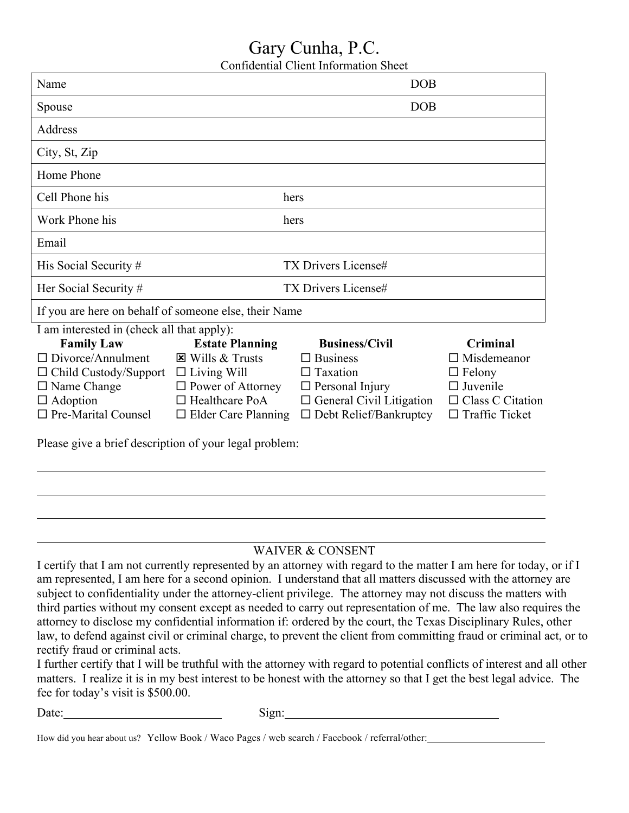## Gary Cunha, P.C.

Confidential Client Information Sheet

| Name                                                   |                            | DOB                             |                         |  |
|--------------------------------------------------------|----------------------------|---------------------------------|-------------------------|--|
| Spouse                                                 |                            | <b>DOB</b>                      |                         |  |
| Address                                                |                            |                                 |                         |  |
| City, St, Zip                                          |                            |                                 |                         |  |
| Home Phone                                             |                            |                                 |                         |  |
| Cell Phone his                                         |                            | hers                            |                         |  |
| Work Phone his                                         |                            | hers                            |                         |  |
| Email                                                  |                            |                                 |                         |  |
| His Social Security #                                  |                            | <b>TX Drivers License#</b>      |                         |  |
| Her Social Security #                                  |                            | <b>TX Drivers License#</b>      |                         |  |
| If you are here on behalf of someone else, their Name  |                            |                                 |                         |  |
| I am interested in (check all that apply):             |                            |                                 |                         |  |
| <b>Family Law</b>                                      | <b>Estate Planning</b>     | <b>Business/Civil</b>           | Criminal                |  |
| $\Box$ Divorce/Annulment                               | $\boxtimes$ Wills & Trusts | $\square$ Business              | $\Box$ Misdemeanor      |  |
| $\Box$ Child Custody/Support                           | $\Box$ Living Will         | $\Box$ Taxation                 | $\Box$ Felony           |  |
| $\Box$ Name Change                                     | $\Box$ Power of Attorney   | $\Box$ Personal Injury          | $\Box$ Juvenile         |  |
| $\Box$ Adoption                                        | $\Box$ Healthcare PoA      | $\Box$ General Civil Litigation | $\Box$ Class C Citation |  |
| $\Box$ Pre-Marital Counsel                             | $\Box$ Elder Care Planning | $\Box$ Debt Relief/Bankruptcy   | $\Box$ Traffic Ticket   |  |
| Please give a brief description of your legal problem. |                            |                                 |                         |  |

lease give a brief description of your legal problem:

## WAIVER & CONSENT

I certify that I am not currently represented by an attorney with regard to the matter I am here for today, or if I am represented, I am here for a second opinion. I understand that all matters discussed with the attorney are subject to confidentiality under the attorney-client privilege. The attorney may not discuss the matters with third parties without my consent except as needed to carry out representation of me. The law also requires the attorney to disclose my confidential information if: ordered by the court, the Texas Disciplinary Rules, other law, to defend against civil or criminal charge, to prevent the client from committing fraud or criminal act, or to rectify fraud or criminal acts.

I further certify that I will be truthful with the attorney with regard to potential conflicts of interest and all other matters. I realize it is in my best interest to be honest with the attorney so that I get the best legal advice. The fee for today's visit is \$500.00.

Date: Sign: Sign:

|  | How did you hear about us? Yellow Book / Waco Pages / web search / Facebook / referral/other:_ |  |
|--|------------------------------------------------------------------------------------------------|--|
|--|------------------------------------------------------------------------------------------------|--|